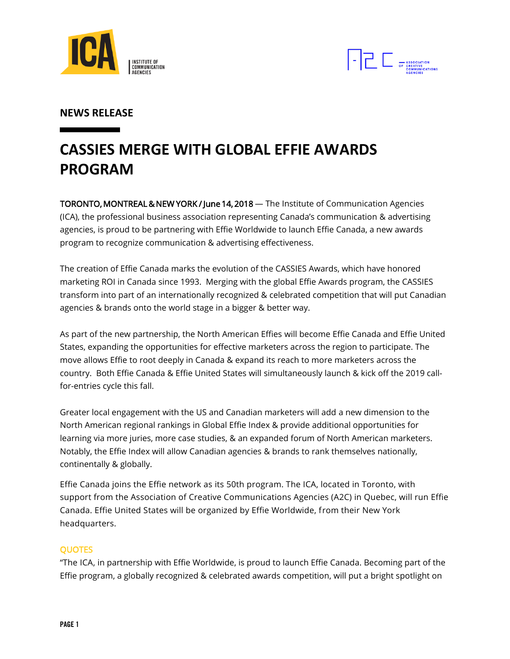



# **NEWS RELEASE**

# **CASSIES MERGE WITH GLOBAL EFFIE AWARDS PROGRAM**

TORONTO, MONTREAL & NEW YORK / June 14, 2018 — The Institute of Communication Agencies (ICA), the professional business association representing Canada's communication & advertising agencies, is proud to be partnering with Effie Worldwide to launch Effie Canada, a new awards program to recognize communication & advertising effectiveness.

The creation of Effie Canada marks the evolution of the CASSIES Awards, which have honored marketing ROI in Canada since 1993. Merging with the global Effie Awards program, the CASSIES transform into part of an internationally recognized & celebrated competition that will put Canadian agencies & brands onto the world stage in a bigger & better way.

As part of the new partnership, the North American Effies will become Effie Canada and Effie United States, expanding the opportunities for effective marketers across the region to participate. The move allows Effie to root deeply in Canada & expand its reach to more marketers across the country. Both Effie Canada & Effie United States will simultaneously launch & kick off the 2019 callfor-entries cycle this fall.

Greater local engagement with the US and Canadian marketers will add a new dimension to the North American regional rankings in Global Effie Index & provide additional opportunities for learning via more juries, more case studies, & an expanded forum of North American marketers. Notably, the Effie Index will allow Canadian agencies & brands to rank themselves nationally, continentally & globally.

Effie Canada joins the Effie network as its 50th program. The ICA, located in Toronto, with support from the Association of Creative Communications Agencies (A2C) in Quebec, will run Effie Canada. Effie United States will be organized by Effie Worldwide, from their New York headquarters.

## QUOTES

"The ICA, in partnership with Effie Worldwide, is proud to launch Effie Canada. Becoming part of the Effie program, a globally recognized & celebrated awards competition, will put a bright spotlight on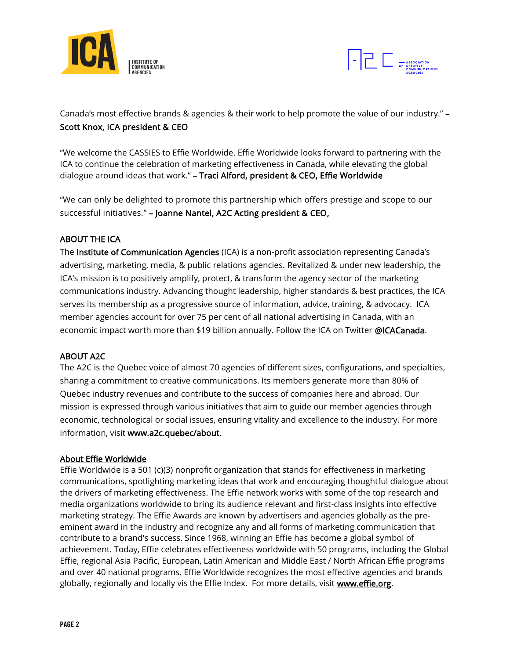



Canada's most effective brands & agencies & their work to help promote the value of our industry." – Scott Knox, ICA president & CEO

"We welcome the CASSIES to Effie Worldwide. Effie Worldwide looks forward to partnering with the ICA to continue the celebration of marketing effectiveness in Canada, while elevating the global dialogue around ideas that work." – Traci Alford, president & CEO, Effie Worldwide

"We can only be delighted to promote this partnership which offers prestige and scope to our successful initiatives." – Joanne Nantel, A2C Acting president & CEO,

## ABOUT THE ICA

The **Institute of Communication Agencies** (ICA) is a non-profit association representing Canada's advertising, marketing, media, & public relations agencies. Revitalized & under new leadership, the ICA's mission is to positively amplify, protect, & transform the agency sector of the marketing communications industry. Advancing thought leadership, higher standards & best practices, the ICA serves its membership as a progressive source of information, advice, training, & advocacy. ICA member agencies account for over 75 per cent of all national advertising in Canada, with an economic impact worth more than \$19 billion annually. Follow the ICA on Twitter [@ICACanada.](https://twitter.com/ICACanada)

## ABOUT A2C

The A2C is the Quebec voice of almost 70 agencies of different sizes, configurations, and specialties, sharing a commitment to creative communications. Its members generate more than 80% of Quebec industry revenues and contribute to the success of companies here and abroad. Our mission is expressed through various initiatives that aim to guide our member agencies through economic, technological or social issues, ensuring vitality and excellence to the industry. For more information, visit [www.a2c.quebec/about.](http://www.a2c.quebec/about)

#### About Effie Worldwide

Effie Worldwide is a 501 (c)(3) nonprofit organization that stands for effectiveness in marketing communications, spotlighting marketing ideas that work and encouraging thoughtful dialogue about the drivers of marketing effectiveness. The Effie network works with some of the top research and media organizations worldwide to bring its audience relevant and first-class insights into effective marketing strategy. The Effie Awards are known by advertisers and agencies globally as the preeminent award in the industry and recognize any and all forms of marketing communication that contribute to a brand's success. Since 1968, winning an Effie has become a global symbol of achievement. Today, Effie celebrates effectiveness worldwide with 50 programs, including the Global Effie, regional Asia Pacific, European, Latin American and Middle East / North African Effie programs and over 40 national programs. Effie Worldwide recognizes the most effective agencies and brands globally, regionally and locally vis the Effie Index. For more details, visit [www.effie.org.](http://www.effie.org/)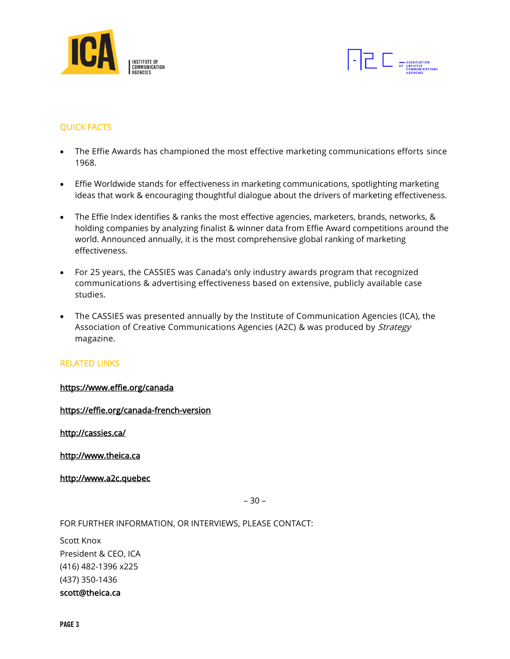



# QUICK FACTS

- The Effie Awards has championed the most effective marketing communications efforts since 1968.
- Effie Worldwide stands for effectiveness in marketing communications, spotlighting marketing ideas that work & encouraging thoughtful dialogue about the drivers of marketing effectiveness.
- The Effie Index identifies & ranks the most effective agencies, marketers, brands, networks, & holding companies by analyzing finalist & winner data from Effie Award competitions around the world. Announced annually, it is the most comprehensive global ranking of marketing effectiveness.
- For 25 years, the CASSIES was Canada's only industry awards program that recognized communications & advertising effectiveness based on extensive, publicly available case studies.
- The CASSIES was presented annually by the Institute of Communication Agencies (ICA), the Association of Creative Communications Agencies (A2C) & was produced by Strategy magazine.

#### RELATED LINKS

#### [https://www.effie.org/c](https://www.effie.org/)anada

<https://effie.org/canada-french-version>

<http://cassies.ca/>

http://www.theica.ca

http://www.a2c.quebec

– 30 –

FOR FURTHER INFORMATION, OR INTERVIEWS, PLEASE CONTACT:

Scott Knox President & CEO, ICA (416) 482-1396 x225 (437) 350-1436 scott@theica.ca